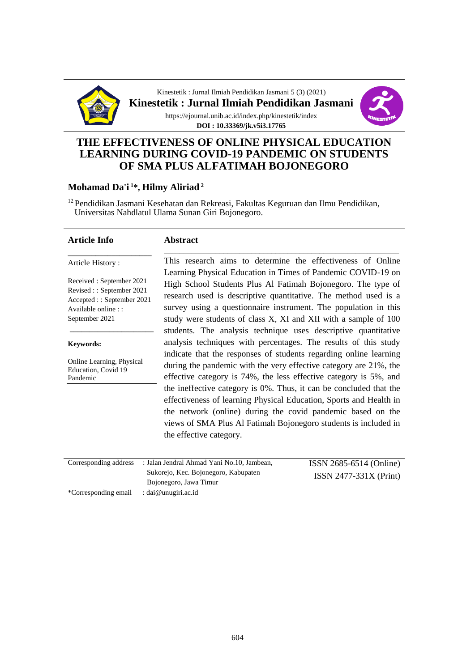

Kinestetik : Jurnal Ilmiah Pendidikan Jasmani 5 (3) (2021) **Kinestetik : Jurnal Ilmiah Pendidikan Jasmani** https://ejournal.unib.ac.id/index.php/kinestetik/index **DOI : 10.33369/jk.v5i3.17765**



# **THE EFFECTIVENESS OF ONLINE PHYSICAL EDUCATION LEARNING DURING COVID-19 PANDEMIC ON STUDENTS OF SMA PLUS ALFATIMAH BOJONEGORO**

### **Mohamad Da'i <sup>1</sup>\*, Hilmy Aliriad <sup>2</sup>**

<sup>12</sup> Pendidikan Jasmani Kesehatan dan Rekreasi, Fakultas Keguruan dan Ilmu Pendidikan, Universitas Nahdlatul Ulama Sunan Giri Bojonegoro.

#### **Article Info**

#### **Abstract**

Article History :

Received : September 2021 Revised : : September 2021 Accepted : : September 2021 Available online : : September 2021

\_\_\_\_\_\_\_\_\_\_\_\_\_\_\_\_\_\_\_\_\_

\_\_\_\_\_\_\_\_\_\_\_\_\_\_\_\_\_\_\_\_\_

**Keywords:**

Online Learning, Physical Education, Covid 19 Pandemic

This research aims to determine the effectiveness of Online Learning Physical Education in Times of Pandemic COVID-19 on High School Students Plus Al Fatimah Bojonegoro. The type of research used is descriptive quantitative. The method used is a survey using a questionnaire instrument. The population in this study were students of class X, XI and XII with a sample of 100 students. The analysis technique uses descriptive quantitative analysis techniques with percentages. The results of this study indicate that the responses of students regarding online learning during the pandemic with the very effective category are 21%, the effective category is 74%, the less effective category is 5%, and the ineffective category is 0%. Thus, it can be concluded that the effectiveness of learning Physical Education, Sports and Health in the network (online) during the covid pandemic based on the views of SMA Plus Al Fatimah Bojonegoro students is included in the effective category.

\_\_\_\_\_\_\_\_\_\_\_\_\_\_\_\_\_\_\_\_\_\_\_\_\_\_\_\_\_\_\_\_\_\_\_\_\_\_\_\_\_\_\_\_\_\_\_\_\_\_\_\_\_\_\_\_\_\_\_

| Corresponding address | : Jalan Jendral Ahmad Yani No.10, Jambean. | $ISSN 2685-6514 (Online)$ |
|-----------------------|--------------------------------------------|---------------------------|
|                       | Sukorejo, Kec. Bojonegoro, Kabupaten       | $ISSN 2477-331X (Print)$  |
|                       | Bojonegoro, Jawa Timur                     |                           |
| *Corresponding email  | : dai@unugiri.ac.id                        |                           |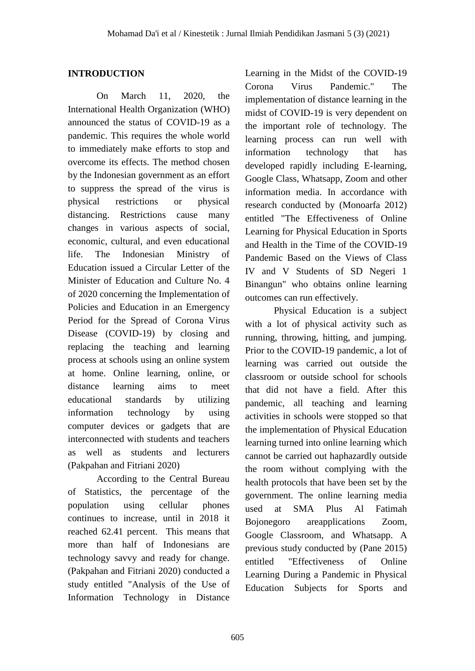## **INTRODUCTION**

On March 11, 2020, the International Health Organization (WHO) announced the status of COVID-19 as a pandemic. This requires the whole world to immediately make efforts to stop and overcome its effects. The method chosen by the Indonesian government as an effort to suppress the spread of the virus is physical restrictions or physical distancing. Restrictions cause many changes in various aspects of social, economic, cultural, and even educational life. The Indonesian Ministry of Education issued a Circular Letter of the Minister of Education and Culture No. 4 of 2020 concerning the Implementation of Policies and Education in an Emergency Period for the Spread of Corona Virus Disease (COVID-19) by closing and replacing the teaching and learning process at schools using an online system at home. Online learning, online, or distance learning aims to meet educational standards by utilizing information technology by using computer devices or gadgets that are interconnected with students and teachers as well as students and lecturers (Pakpahan and Fitriani 2020)

According to the Central Bureau of Statistics, the percentage of the population using cellular phones continues to increase, until in 2018 it reached 62.41 percent. This means that more than half of Indonesians are technology savvy and ready for change. (Pakpahan and Fitriani 2020) conducted a study entitled "Analysis of the Use of Information Technology in Distance

Learning in the Midst of the COVID-19 Corona Virus Pandemic." The implementation of distance learning in the midst of COVID-19 is very dependent on the important role of technology. The learning process can run well with information technology that has developed rapidly including E-learning, Google Class, Whatsapp, Zoom and other information media. In accordance with research conducted by (Monoarfa 2012) entitled "The Effectiveness of Online Learning for Physical Education in Sports and Health in the Time of the COVID-19 Pandemic Based on the Views of Class IV and V Students of SD Negeri 1 Binangun" who obtains online learning outcomes can run effectively.

Physical Education is a subject with a lot of physical activity such as running, throwing, hitting, and jumping. Prior to the COVID-19 pandemic, a lot of learning was carried out outside the classroom or outside school for schools that did not have a field. After this pandemic, all teaching and learning activities in schools were stopped so that the implementation of Physical Education learning turned into online learning which cannot be carried out haphazardly outside the room without complying with the health protocols that have been set by the government. The online learning media used at SMA Plus Al Fatimah Bojonegoro areapplications Zoom, Google Classroom, and Whatsapp. A previous study conducted by (Pane 2015) entitled "Effectiveness of Online Learning During a Pandemic in Physical Education Subjects for Sports and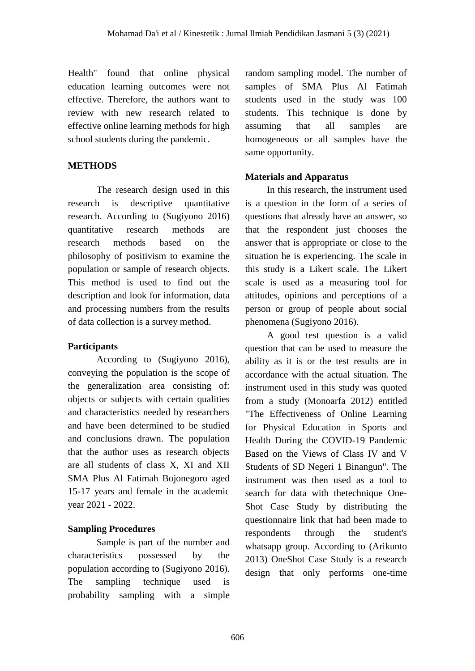Health" found that online physical education learning outcomes were not effective. Therefore, the authors want to review with new research related to effective online learning methods for high school students during the pandemic.

# **METHODS**

The research design used in this research is descriptive quantitative research. According to (Sugiyono 2016) quantitative research methods are research methods based on the philosophy of positivism to examine the population or sample of research objects. This method is used to find out the description and look for information, data and processing numbers from the results of data collection is a survey method.

# **Participants**

According to (Sugiyono 2016), conveying the population is the scope of the generalization area consisting of: objects or subjects with certain qualities and characteristics needed by researchers and have been determined to be studied and conclusions drawn. The population that the author uses as research objects are all students of class X, XI and XII SMA Plus Al Fatimah Bojonegoro aged 15-17 years and female in the academic year 2021 - 2022.

# **Sampling Procedures**

Sample is part of the number and characteristics possessed by the population according to (Sugiyono 2016). The sampling technique used is probability sampling with a simple

random sampling model. The number of samples of SMA Plus Al Fatimah students used in the study was 100 students. This technique is done by assuming that all samples are homogeneous or all samples have the same opportunity.

# **Materials and Apparatus**

In this research, the instrument used is a question in the form of a series of questions that already have an answer, so that the respondent just chooses the answer that is appropriate or close to the situation he is experiencing. The scale in this study is a Likert scale. The Likert scale is used as a measuring tool for attitudes, opinions and perceptions of a person or group of people about social phenomena (Sugiyono 2016).

A good test question is a valid question that can be used to measure the ability as it is or the test results are in accordance with the actual situation. The instrument used in this study was quoted from a study (Monoarfa 2012) entitled "The Effectiveness of Online Learning for Physical Education in Sports and Health During the COVID-19 Pandemic Based on the Views of Class IV and V Students of SD Negeri 1 Binangun". The instrument was then used as a tool to search for data with thetechnique One-Shot Case Study by distributing the questionnaire link that had been made to respondents through the student's whatsapp group. According to (Arikunto 2013) OneShot Case Study is a research design that only performs one-time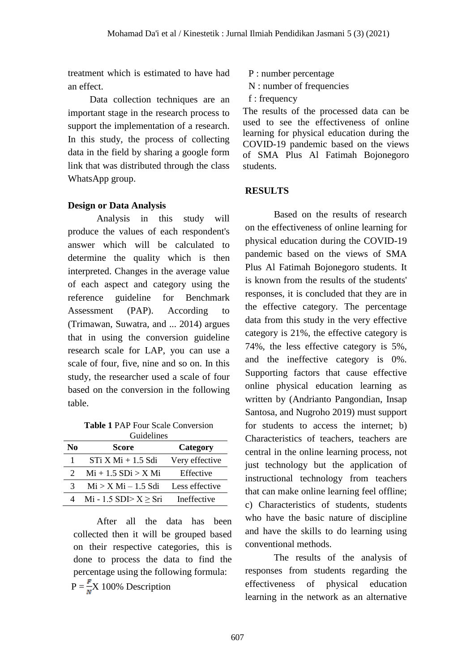treatment which is estimated to have had an effect.

Data collection techniques are an important stage in the research process to support the implementation of a research. In this study, the process of collecting data in the field by sharing a google form link that was distributed through the class WhatsApp group.

### **Design or Data Analysis**

Analysis in this study will produce the values of each respondent's answer which will be calculated to determine the quality which is then interpreted. Changes in the average value of each aspect and category using the reference guideline for Benchmark Assessment (PAP). According to (Trimawan, Suwatra, and ... 2014) argues that in using the conversion guideline research scale for LAP, you can use a scale of four, five, nine and so on. In this study, the researcher used a scale of four based on the conversion in the following table.

**Table 1** PAP Four Scale Conversion Guidelines

| No            | Score                      | Category       |  |  |
|---------------|----------------------------|----------------|--|--|
|               | $STi$ X Mi + 1.5 Sdi       | Very effective |  |  |
| $\mathcal{D}$ | $Mi + 1.5 SDi > X Mi$      | Effective      |  |  |
| 3             | $Mi > X Mi - 1.5 Sdi$      | Less effective |  |  |
|               | Mi - 1.5 SDI> $X \geq Sri$ | Ineffective    |  |  |

After all the data has been collected then it will be grouped based on their respective categories, this is done to process the data to find the percentage using the following formula:  $P = \frac{F}{N}X$  100% Description

- P : number percentage
- N : number of frequencies
- f : frequency

The results of the processed data can be used to see the effectiveness of online learning for physical education during the COVID-19 pandemic based on the views of SMA Plus Al Fatimah Bojonegoro students.

### **RESULTS**

Based on the results of research on the effectiveness of online learning for physical education during the COVID-19 pandemic based on the views of SMA Plus Al Fatimah Bojonegoro students. It is known from the results of the students' responses, it is concluded that they are in the effective category. The percentage data from this study in the very effective category is 21%, the effective category is 74%, the less effective category is 5%, and the ineffective category is 0%. Supporting factors that cause effective online physical education learning as written by (Andrianto Pangondian, Insap Santosa, and Nugroho 2019) must support for students to access the internet; b) Characteristics of teachers, teachers are central in the online learning process, not just technology but the application of instructional technology from teachers that can make online learning feel offline; c) Characteristics of students, students who have the basic nature of discipline and have the skills to do learning using conventional methods.

The results of the analysis of responses from students regarding the effectiveness of physical education learning in the network as an alternative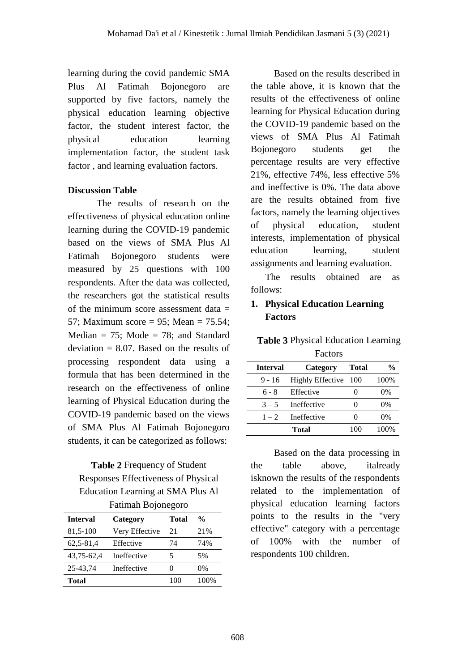learning during the covid pandemic SMA Plus Al Fatimah Bojonegoro are supported by five factors, namely the physical education learning objective factor, the student interest factor, the physical education learning implementation factor, the student task factor , and learning evaluation factors.

### **Discussion Table**

The results of research on the effectiveness of physical education online learning during the COVID-19 pandemic based on the views of SMA Plus Al Fatimah Bojonegoro students were measured by 25 questions with 100 respondents. After the data was collected, the researchers got the statistical results of the minimum score assessment data  $=$ 57; Maximum score = 95; Mean = 75.54; Median  $= 75$ ; Mode  $= 78$ ; and Standard deviation  $= 8.07$ . Based on the results of processing respondent data using a formula that has been determined in the research on the effectiveness of online learning of Physical Education during the COVID-19 pandemic based on the views of SMA Plus Al Fatimah Bojonegoro students, it can be categorized as follows:

# **Table 2** Frequency of Student Responses Effectiveness of Physical Education Learning at SMA Plus Al Fatimah Bojonegoro

| <b>Interval</b> | Category       | <b>Total</b> | $\frac{0}{0}$ |
|-----------------|----------------|--------------|---------------|
| 81,5-100        | Very Effective | 21           | 21%           |
| 62,5-81,4       | Effective      | 74           | 74%           |
| 43,75-62,4      | Ineffective    | 5            | 5%            |
| 25-43.74        | Ineffective    | 0            | $0\%$         |
| <b>Total</b>    |                | 100          | 100%          |

Based on the results described in the table above, it is known that the results of the effectiveness of online learning for Physical Education during the COVID-19 pandemic based on the views of SMA Plus Al Fatimah Bojonegoro students get the percentage results are very effective 21%, effective 74%, less effective 5% and ineffective is 0%. The data above are the results obtained from five factors, namely the learning objectives of physical education, student interests, implementation of physical education learning, student assignments and learning evaluation.

The results obtained are as follows:

# **1. Physical Education Learning Factors**

| <b>F</b> actors |                         |       |               |
|-----------------|-------------------------|-------|---------------|
| <b>Interval</b> | Category                | Total | $\frac{0}{0}$ |
| $9 - 16$        | <b>Highly Effective</b> | 100   | 100%          |
| 6 - 8           | Effective               |       | 0%            |
| $3 - 5$         | Ineffective             |       | 0%            |
| $1 - 2$         | Ineffective             |       | 0%            |
|                 | Total                   | 100   | 100%          |

**Table 3** Physical Education Learning  $\mathbf{F}$  and  $\mathbf{F}$ 

Based on the data processing in the table above, italready isknown the results of the respondents related to the implementation of physical education learning factors points to the results in the "very effective" category with a percentage of 100% with the number of respondents 100 children.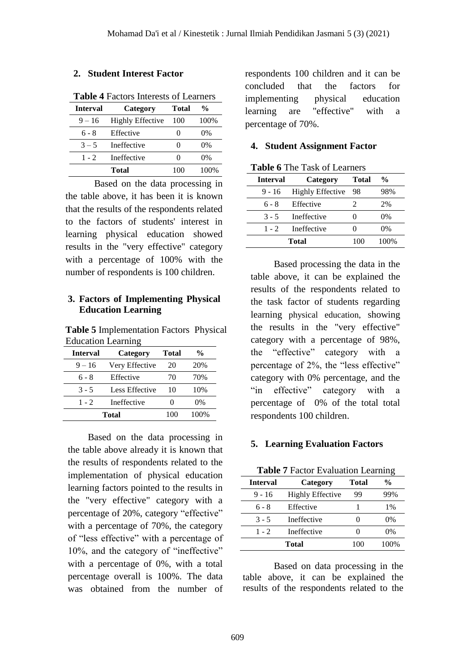### **2. Student Interest Factor**

| Tabit <del>1</del> Factors microsts of Ecamers |                         |              |               |  |
|------------------------------------------------|-------------------------|--------------|---------------|--|
| Category<br><b>Interval</b>                    |                         | <b>Total</b> | $\frac{0}{0}$ |  |
| $9 - 16$                                       | <b>Highly Effective</b> | 100          | 100%          |  |
| 6 - 8                                          | Effective               |              | $0\%$         |  |
| $3 - 5$                                        | Ineffective             |              | $0\%$         |  |
| $1 - 2$                                        | Ineffective             |              | $0\%$         |  |
|                                                | Total                   | 100          | 100%          |  |

**Table 4** Factors Interests of Learners

Based on the data processing in the table above, it has been it is known that the results of the respondents related to the factors of students' interest in learning physical education showed results in the "very effective" category with a percentage of 100% with the number of respondents is 100 children.

### **3. Factors of Implementing Physical Education Learning**

**Table 5** Implementation Factors Physical Education Learning

| <b>Interval</b> | Category       |      | %   |
|-----------------|----------------|------|-----|
| $9 - 16$        | Very Effective | 20   | 20% |
| $6 - 8$         | Effective      | 70   | 70% |
| $3 - 5$         | Less Effective | 10   | 10% |
| $1 - 2$         | Ineffective    |      | 0%  |
| Total           | 100            | 100% |     |

Based on the data processing in the table above already it is known that the results of respondents related to the implementation of physical education learning factors pointed to the results in the "very effective" category with a percentage of 20%, category "effective" with a percentage of 70%, the category of "less effective" with a percentage of 10%, and the category of "ineffective" with a percentage of 0%, with a total percentage overall is 100%. The data was obtained from the number of

respondents 100 children and it can be concluded that the factors for implementing physical education learning are "effective" with a percentage of 70%.

#### **4. Student Assignment Factor**

| <b>Table 6</b> The Task of Learners |  |  |
|-------------------------------------|--|--|
|-------------------------------------|--|--|

| <b>Interval</b> | Category                | Total | %     |
|-----------------|-------------------------|-------|-------|
| $9 - 16$        | <b>Highly Effective</b> | 98    | 98%   |
| 6 - 8           | Effective               | 2     | 2%    |
| $3 - 5$         | Ineffective             |       | $0\%$ |
| $1 - 2$         | Ineffective             |       | $0\%$ |
|                 | <b>Total</b>            | 100   | 100%  |

Based processing the data in the table above, it can be explained the results of the respondents related to the task factor of students regarding learning physical education, showing the results in the "very effective" category with a percentage of 98%, the "effective" category with a percentage of 2%, the "less effective" category with 0% percentage, and the "in effective" category with a percentage of 0% of the total total respondents 100 children.

### **5. Learning Evaluation Factors**

|  | <b>Table 7 Factor Evaluation Learning</b> |  |
|--|-------------------------------------------|--|
|  |                                           |  |

| <b>Interval</b> | Category                | Total | $\frac{0}{0}$ |
|-----------------|-------------------------|-------|---------------|
| 9 - 16          | <b>Highly Effective</b> | 99    | 99%           |
| 6 - 8           | Effective               |       | $1\%$         |
| $3 - 5$         | Ineffective             |       | 0%            |
| $1 - 2$         | Ineffective             |       | $0\%$         |
|                 | Total                   | 100   | 100%          |

Based on data processing in the table above, it can be explained the results of the respondents related to the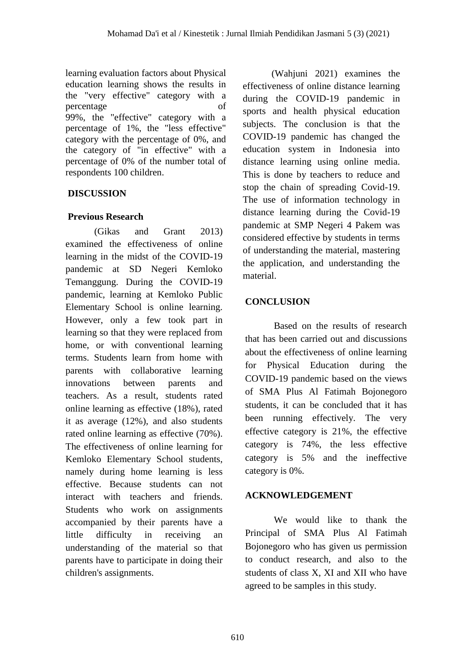learning evaluation factors about Physical education learning shows the results in the "very effective" category with a percentage of 99%, the "effective" category with a percentage of 1%, the "less effective" category with the percentage of 0%, and the category of "in effective" with a percentage of 0% of the number total of respondents 100 children.

# **DISCUSSION**

# **Previous Research**

(Gikas and Grant 2013) examined the effectiveness of online learning in the midst of the COVID-19 pandemic at SD Negeri Kemloko Temanggung. During the COVID-19 pandemic, learning at Kemloko Public Elementary School is online learning. However, only a few took part in learning so that they were replaced from home, or with conventional learning terms. Students learn from home with parents with collaborative learning innovations between parents and teachers. As a result, students rated online learning as effective (18%), rated it as average (12%), and also students rated online learning as effective (70%). The effectiveness of online learning for Kemloko Elementary School students, namely during home learning is less effective. Because students can not interact with teachers and friends. Students who work on assignments accompanied by their parents have a little difficulty in receiving an understanding of the material so that parents have to participate in doing their children's assignments.

(Wahjuni 2021) examines the effectiveness of online distance learning during the COVID-19 pandemic in sports and health physical education subjects. The conclusion is that the COVID-19 pandemic has changed the education system in Indonesia into distance learning using online media. This is done by teachers to reduce and stop the chain of spreading Covid-19. The use of information technology in distance learning during the Covid-19 pandemic at SMP Negeri 4 Pakem was considered effective by students in terms of understanding the material, mastering the application, and understanding the material.

# **CONCLUSION**

Based on the results of research that has been carried out and discussions about the effectiveness of online learning for Physical Education during the COVID-19 pandemic based on the views of SMA Plus Al Fatimah Bojonegoro students, it can be concluded that it has been running effectively. The very effective category is 21%, the effective category is 74%, the less effective category is 5% and the ineffective category is 0%.

# **ACKNOWLEDGEMENT**

We would like to thank the Principal of SMA Plus Al Fatimah Bojonegoro who has given us permission to conduct research, and also to the students of class X, XI and XII who have agreed to be samples in this study.